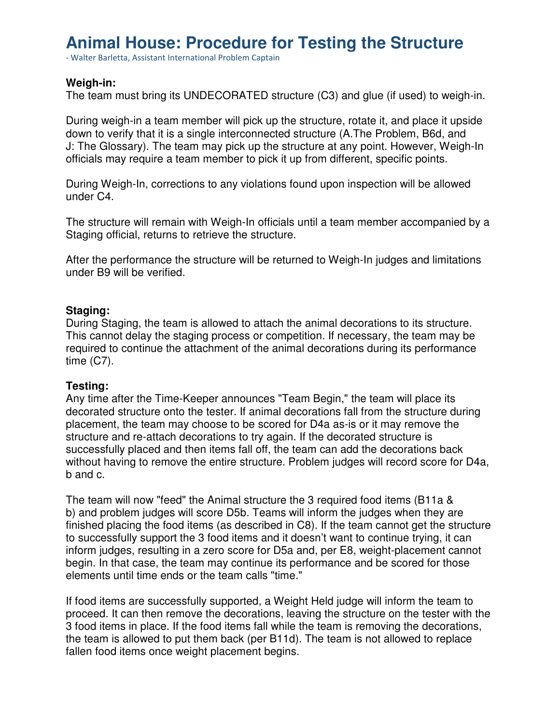# **Animal House: Procedure for Testing the Structure**

- Walter Barletta, Assistant International Problem Captain

### **Weigh-in:**

The team must bring its UNDECORATED structure (C3) and glue (if used) to weigh-in.

During weigh-in a team member will pick up the structure, rotate it, and place it upside down to verify that it is a single interconnected structure (A.The Problem, B6d, and J: The Glossary). The team may pick up the structure at any point. However, Weigh-In officials may require a team member to pick it up from different, specific points.

During Weigh-In, corrections to any violations found upon inspection will be allowed under C4.

The structure will remain with Weigh-In officials until a team member accompanied by a Staging official, returns to retrieve the structure.

After the performance the structure will be returned to Weigh-In judges and limitations under B9 will be verified.

### **Staging:**

During Staging, the team is allowed to attach the animal decorations to its structure. This cannot delay the staging process or competition. If necessary, the team may be required to continue the attachment of the animal decorations during its performance time (C7).

### **Testing:**

Any time after the Time-Keeper announces "Team Begin," the team will place its decorated structure onto the tester. If animal decorations fall from the structure during placement, the team may choose to be scored for D4a as-is or it may remove the structure and re-attach decorations to try again. If the decorated structure is successfully placed and then items fall off, the team can add the decorations back without having to remove the entire structure. Problem judges will record score for D4a, b and c.

The team will now "feed" the Animal structure the 3 required food items (B11a & b) and problem judges will score D5b. Teams will inform the judges when they are finished placing the food items (as described in C8). If the team cannot get the structure to successfully support the 3 food items and it doesn't want to continue trying, it can inform judges, resulting in a zero score for D5a and, per E8, weight-placement cannot begin. In that case, the team may continue its performance and be scored for those elements until time ends or the team calls "time."

If food items are successfully supported, a Weight Held judge will inform the team to proceed. It can then remove the decorations, leaving the structure on the tester with the 3 food items in place. If the food items fall while the team is removing the decorations, the team is allowed to put them back (per B11d). The team is not allowed to replace fallen food items once weight placement begins.